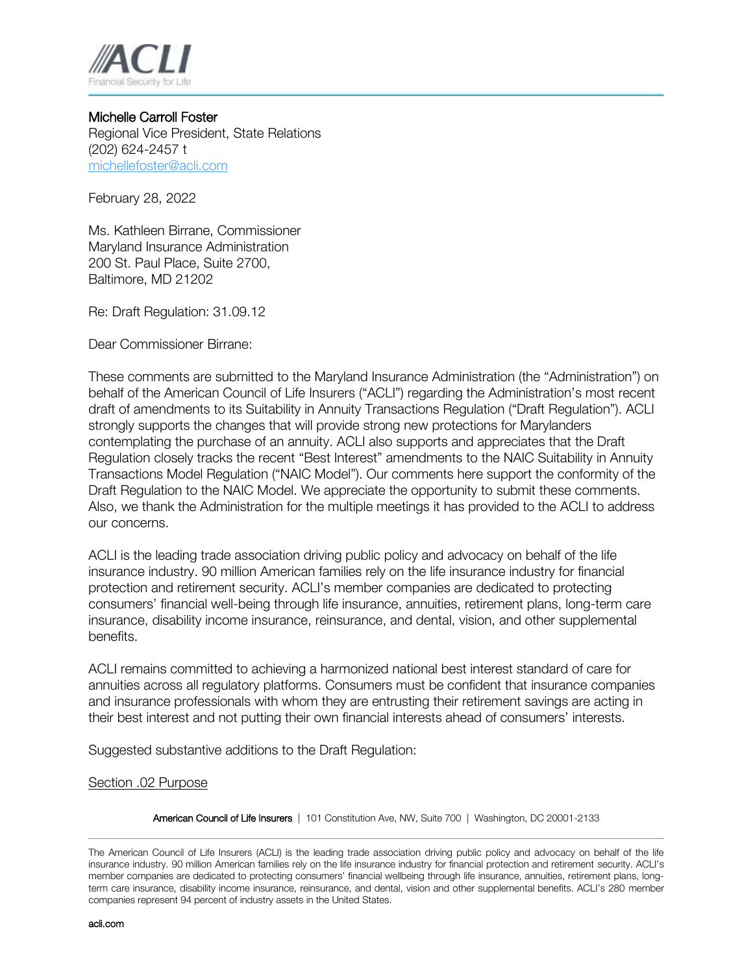

Michelle Carroll Foster Regional Vice President, State Relations (202) 624-2457 t [michellefoster@acli.com](mailto:michellefoster@acli.com)

February 28, 2022

Ms. Kathleen Birrane, Commissioner Maryland Insurance Administration 200 St. Paul Place, Suite 2700, Baltimore, MD 21202

Re: Draft Regulation: 31.09.12

Dear Commissioner Birrane:

These comments are submitted to the Maryland Insurance Administration (the "Administration") on behalf of the American Council of Life Insurers ("ACLI") regarding the Administration's most recent draft of amendments to its Suitability in Annuity Transactions Regulation ("Draft Regulation"). ACLI strongly supports the changes that will provide strong new protections for Marylanders contemplating the purchase of an annuity. ACLI also supports and appreciates that the Draft Regulation closely tracks the recent "Best Interest" amendments to the NAIC Suitability in Annuity Transactions Model Regulation ("NAIC Model"). Our comments here support the conformity of the Draft Regulation to the NAIC Model. We appreciate the opportunity to submit these comments. Also, we thank the Administration for the multiple meetings it has provided to the ACLI to address our concerns.

ACLI is the leading trade association driving public policy and advocacy on behalf of the life insurance industry. 90 million American families rely on the life insurance industry for financial protection and retirement security. ACLI's member companies are dedicated to protecting consumers' financial well-being through life insurance, annuities, retirement plans, long-term care insurance, disability income insurance, reinsurance, and dental, vision, and other supplemental benefits.

ACLI remains committed to achieving a harmonized national best interest standard of care for annuities across all regulatory platforms. Consumers must be confident that insurance companies and insurance professionals with whom they are entrusting their retirement savings are acting in their best interest and not putting their own financial interests ahead of consumers' interests.

Suggested substantive additions to the Draft Regulation:

## Section .02 Purpose

American Council of Life Insurers | 101 Constitution Ave, NW, Suite 700 | Washington, DC 20001-2133

The American Council of Life Insurers (ACLI) is the leading trade association driving public policy and advocacy on behalf of the life insurance industry. 90 million American families rely on the life insurance industry for financial protection and retirement security. ACLI's member companies are dedicated to protecting consumers' financial wellbeing through life insurance, annuities, retirement plans, longterm care insurance, disability income insurance, reinsurance, and dental, vision and other supplemental benefits. ACLI's 280 member companies represent 94 percent of industry assets in the United States.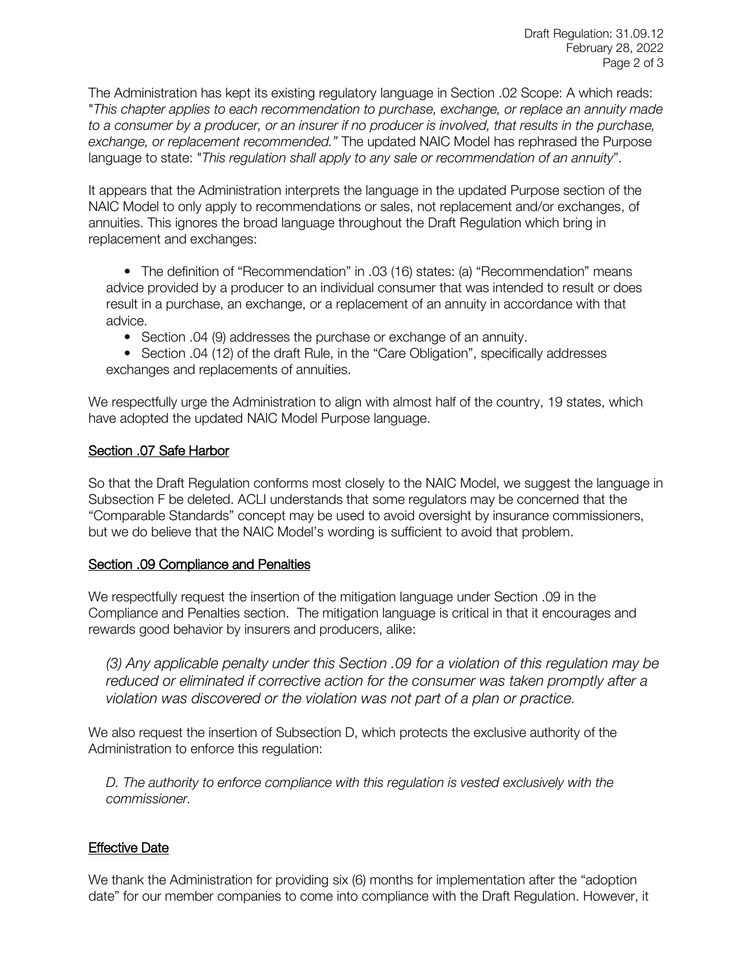The Administration has kept its existing regulatory language in Section .02 Scope: A which reads: "*This chapter applies to each recommendation to purchase, exchange, or replace an annuity made to a consumer by a producer, or an insurer if no producer is involved, that results in the purchase, exchange, or replacement recommended."* The updated NAIC Model has rephrased the Purpose language to state: "*This regulation shall apply to any sale or recommendation of an annuity*".

It appears that the Administration interprets the language in the updated Purpose section of the NAIC Model to only apply to recommendations or sales, not replacement and/or exchanges, of annuities. This ignores the broad language throughout the Draft Regulation which bring in replacement and exchanges:

• The definition of "Recommendation" in .03 (16) states: (a) "Recommendation" means advice provided by a producer to an individual consumer that was intended to result or does result in a purchase, an exchange, or a replacement of an annuity in accordance with that advice.

• Section .04 (9) addresses the purchase or exchange of an annuity.

• Section .04 (12) of the draft Rule, in the "Care Obligation", specifically addresses exchanges and replacements of annuities.

We respectfully urge the Administration to align with almost half of the country, 19 states, which have adopted the updated NAIC Model Purpose language.

## Section .07 Safe Harbor

So that the Draft Regulation conforms most closely to the NAIC Model, we suggest the language in Subsection F be deleted. ACLI understands that some regulators may be concerned that the "Comparable Standards" concept may be used to avoid oversight by insurance commissioners, but we do believe that the NAIC Model's wording is sufficient to avoid that problem.

## Section .09 Compliance and Penalties

We respectfully request the insertion of the mitigation language under Section .09 in the Compliance and Penalties section. The mitigation language is critical in that it encourages and rewards good behavior by insurers and producers, alike:

*(3) Any applicable penalty under this Section .09 for a violation of this regulation may be reduced or eliminated if corrective action for the consumer was taken promptly after a violation was discovered or the violation was not part of a plan or practice.*

We also request the insertion of Subsection D, which protects the exclusive authority of the Administration to enforce this regulation:

*D. The authority to enforce compliance with this regulation is vested exclusively with the commissioner.*

## Effective Date

We thank the Administration for providing six (6) months for implementation after the "adoption date" for our member companies to come into compliance with the Draft Regulation. However, it